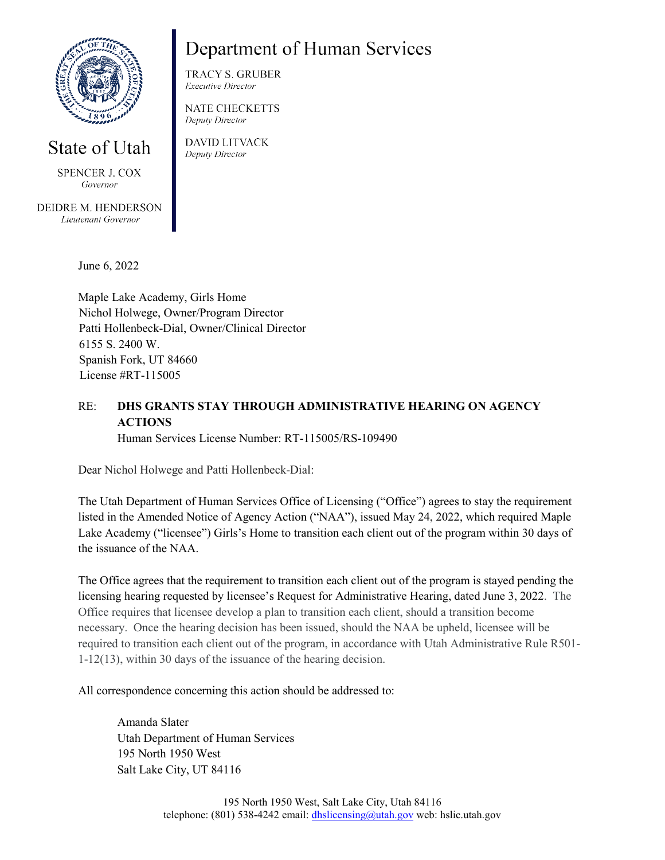

## State of Utah

**SPENCER J. COX** Governor

DEIDRE M. HENDERSON Lieutenant Governor

## Department of Human Services

**TRACY S. GRUBER Executive Director** 

**NATE CHECKETTS** Deputy Director

**DAVID LITVACK** Deputy Director

June 6, 2022

Maple Lake Academy, Girls Home Nichol Holwege, Owner/Program Director Patti Hollenbeck-Dial, Owner/Clinical Director 6155 S. 2400 W. Spanish Fork, UT 84660 License #RT-115005

## RE: **DHS GRANTS STAY THROUGH ADMINISTRATIVE HEARING ON AGENCY ACTIONS**

Human Services License Number: RT-115005/RS-109490

Dear Nichol Holwege and Patti Hollenbeck-Dial:

The Utah Department of Human Services Office of Licensing ("Office") agrees to stay the requirement listed in the Amended Notice of Agency Action ("NAA"), issued May 24, 2022, which required Maple Lake Academy ("licensee") Girls's Home to transition each client out of the program within 30 days of the issuance of the NAA.

The Office agrees that the requirement to transition each client out of the program is stayed pending the licensing hearing requested by licensee's Request for Administrative Hearing, dated June 3, 2022. The Office requires that licensee develop a plan to transition each client, should a transition become necessary. Once the hearing decision has been issued, should the NAA be upheld, licensee will be required to transition each client out of the program, in accordance with Utah Administrative Rule R501- 1-12(13), within 30 days of the issuance of the hearing decision.

All correspondence concerning this action should be addressed to:

Amanda Slater Utah Department of Human Services 195 North 1950 West Salt Lake City, UT 84116